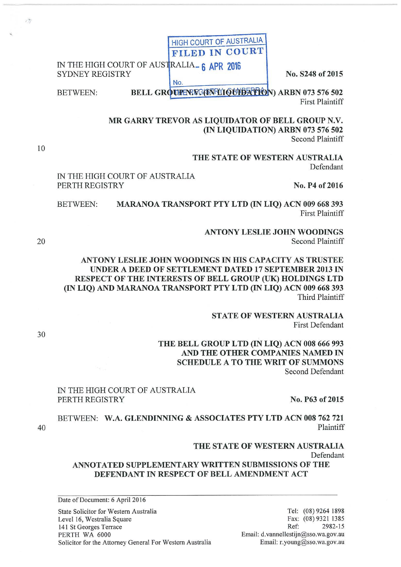| IN THE HIGH COURT OF AUSTRALIA <sub>-6</sub> APR 2016 |  |  |
|-------------------------------------------------------|--|--|
| SYDNEY REGISTRY                                       |  |  |
|                                                       |  |  |

No. S248 of 2015

BETWEEN:

BELL GROUPENFC(DNPLIQUIDATION) ARBN 073 576 502 **First Plaintiff** 

HIGH COURT OF AUSTRALIA FILED IN COURT

MR GARRY TREVOR AS LIQUIDATOR OF BELL GROUP N.V. (IN LIQUIDATION) ARBN 073 576 502 Second Plaintiff

> THE STATE OF WESTERN AUSTRALIA Defendant

IN THE HIGH COURT OF AUSTRALIA PERTH REGISTRY No. 2016

BETWEEN: MARANOA TRANSPORT PTY LTD (IN LIQ) ACN 009 668 393 First Plaintiff

> ANTONY LESLIE JOHN WOODINGS Second Plaintiff

ANTONY LESLIE JOHN WOODINGS IN HIS CAPACITY AS TRUSTEE UNDER A DEED OF SETTLEMENT DATED 17 SEPTEMBER 2013 IN RESPECT OF THE INTERESTS OF BELL GROUP (UK) HOLDINGS LTD (IN LIQ) AND MARANOA TRANSPORT PTY LTD (IN LIQ) ACN 009 668 393 Third Plaintiff

> STATE OF WESTERN AUSTRALIA First Defendant

THE BELL GROUP LTD (IN LIQ) ACN 008 666 993 AND THE OTHER COMPANIES NAMED IN SCHEDULE A TO THE WRIT OF SUMMONS Second Defendant

# IN THE HIGH COURT OF AUSTRALIA PERTH REGISTRY No. P63 of 2015

BETWEEN: W.A. GLENDINNING & ASSOCIATES PTY LTD ACN 008 762 721 Plaintiff

# THE STATE OF WESTERN AUSTRALIA

Defendant

# ANNOTATED SUPPLEMENTARY WRITTEN SUBMISSIONS OF THE DEFENDANT IN RESPECT OF BELL AMENDMENT ACT

Date of Document: 6 April 2016

State Solicitor for Western Australia Level 16, Westralia Square 141 St Georges Terrace PERTH WA 6000 Solicitor for the Attorney General For Western Australia

30

40

 $77$ 

10

20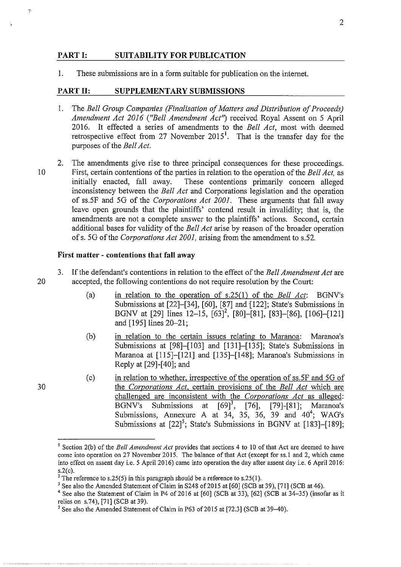### **PART I: SUITABILITY FOR PUBLICATION**

I. These submissions are in a form suitable for publication on the intemet.

#### PART II: SUPPLEMENTARY SUBMISSIONS

- I. The *Bell Group Companies (Finalisation of Matters and Distribution of Proceeds) Amendment Act 2016 ("Bell Amendment Act')* received Royal Assent on 5 April 2016. It effected a series of amendments to the *Bell Act,* most with deemed retrospective effect from 27 November 2015<sup>1</sup>. That is the transfer day for the purposes of the *Bell Act.*
- 2. The amendments give rise to three principal consequences for these proceedings. I 0 First, certain contentions of the parties in relation to the operation of the *Bell Act,* as These contentions primarily concern alleged inconsistency between the *Bell Act* and Corporations legislation and the operation of ss.5F and 50 of the *Corporations Act 2001.* These arguments that fall away leave open grounds that the plaintiffs' contend result in invalidity; that is, the amendments are not a complete answer to the plaintiffs' actions. Second, certain additional bases for validity of the *Bell Act* arise by reason of the broader operation of s. 50 of the *Corporations Act 2001,* arising from the amendment to s.52.

### **First matter- contentions that fall away**

- 3. If the defendant's contentions in relation to the effect of the *Bell Amendment Act* are 20 accepted, the following contentions do not require resolution by the Court:
	- (a) in relation to the operation of s.25(1) of the *Bell Act:* BGNV's Submissions at [22]-[34], [60], [87] and [122]; State's Submissions in BGNV at [29] lines 12–15,  $[63]$ <sup>2</sup>, [80]–[81], [83]–[86], [106]–[121] and [195] lines 20-21;
	- (b) in relation to the certain issues relating to Maranoa: Maranoa's Submissions at [98]-[103] and [131]-[135]; State's Submissions in Maranoa at [115]-[121] and [135]-[148]; Maranoa's Submissions in Reply at [29]-[40]; and
	- (c) in relation to whether, irrespective of the operation of ss.5F and 5G of the *Corporations Act,* certain provisions of the *Bell Act* which are challenged are inconsistent with the *Corporations Act* as alleged: BGNV's Submissions at [69]<sup>3</sup>, [76], [79]-[81]; Maranoa's Submissions, Annexure A at  $3\overline{4}$ ,  $3\overline{5}$ ,  $3\overline{6}$ ,  $39$  and  $40^4$ ; WAG's Submissions at  $[22]^{5}$ ; State's Submissions in BGNV at  $[183]$ - $[189]$ ;

30

 $\overline{2}$ 

<sup>&</sup>lt;sup>1</sup> Section 2(b) of the *Bell Amendment Act* provides that sections 4 to 10 of that Act are deemed to have come into operation on 27 November 2015. The balance of that Act (except for ss. I and 2, which came into effect on assent day i.e. 5 April2016) came into operation the day after assent day i.e. 6 April2016: s.2(c).<br><sup>2</sup> The reference to s.25(5) in this paragraph should be a reference to s.25(1).

<sup>&</sup>lt;sup>3</sup> See also the Amended Statement of Claim in S248 of 2015 at [60] (SCB at 39), [71] (SCB at 46).

<sup>4</sup> See also the Statement of Claim in P4 of 2016 at [60] (SCB at 33), [62] (SCB at 34-35) (insofar as it relies on s.74), [71] (SCB at 39).

<sup>&</sup>lt;sup>5</sup> See also the Amended Statement of Claim in P63 of 2015 at [72.3] (SCB at 39–40).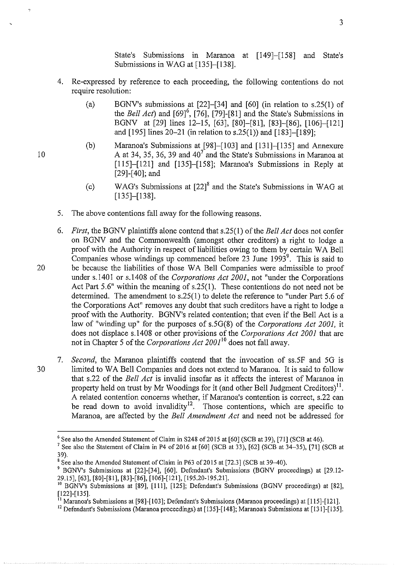State's Submissions in Maranoa at [149]-[158] and State's Submissions in WAG at [135]-[138].

- 4. Re-expressed by reference to each proceeding, the following contentions do not require resolution:
	- (a) BGNV's submissions at [22]-[34] and [60] (in relation to s.25(1) of the *Bell Act*) and  $[69]$ <sup>6</sup>,  $[76]$ ,  $[79]$ - $[81]$  and the State's Submissions in BGNV at [29] lines 12-15, [63], [80]-[81], [83]-[86], [106]-[121] and [195] lines 20-21 (in relation to s.25(1)) and [183]-[189];
	- (b) Maranoa's Submissions at [98]-[103] and [131]-[135] and Annexure A at 34, 35, 36, 39 and  $40^7$  and the State's Submissions in Maranoa at [115]-[121] and [135]-[158]; Maranoa's Submissions in Reply at [29]-[40]; and
	- (c) WAG's Submissions at [22] 8 and the State's Submissions in WAG at [135]-[138].
- 5. The above contentions fall away for the following reasons.
- 6. *First,* the BGNV plaintiffs alone contend that s.25(1) of the *Bell Act* does not confer on BGNV and the Commonwealth (amongst other creditors) a right to lodge a proof with the Authority in respect of liabilities owing to them by certain WA Bell Companies whose windings up commenced before 23 June 1993<sup>9</sup>. This is said to 20 be because the liabilities of those WA Bell Companies were admissible to proof under s.l401 or s.l408 of the *Corporations Act 2001,* not "under the Corporations Act Part 5.6" within the meaning of s.25(1). These contentions do not need not be determined. The amendment to s.25(1) to delete the reference to "under Part 5.6 of the Corporations Act" removes any doubt that such creditors have a right to lodge a proof with the Authority. BGNV's related contention; that even if the Bell Act is a law of "winding up" for the purposes of s.5G(8) of the *Corporations Act 2001,* it does not displace s.l408 or other provisions of the *Corporations Act 2001* that are not in Chapter 5 of the *Corporations Act 2001*<sup>10</sup> does not fall away.
- 7. *Second,* the Maranoa plaintiffs contend that the invocation of ss.5F and 5G is 30 limited to W A Bell Companies and does not extend to Maranoa. It is said to follow that s.22 of the *Bell Act* is invalid insofar as it affects the interest of Maranoa in property held on trust by Mr Woodings for it (and other Bell Judgment Creditors)<sup>11</sup>. A related contention concems whether, if Maranoa's contention is correct, s.22 can be read down to avoid invalidity<sup>12</sup>. Those contentions, which are specific to Maranoa, are affected by the *Bell Amendment Act* and need not be addressed for

10

 $\overline{2}$ 

<sup>&</sup>lt;sup>6</sup> See also the Amended Statement of Claim in S248 of 2015 at [60] (SCB at 39), [71] (SCB at 46).<br><sup>7</sup> See also the Statement of Claim in P4 of 2016 at [60] (SCB at 33), [62] (SCB at 34-35), [71] (SCB at 39).

<sup>&</sup>lt;sup>8</sup> See also the Amended Statement of Claim in P63 of 2015 at [72.3] (SCB at 39–40).

<sup>9</sup> BGNV's Submissions at [22]-[34], [60]. Defendant's Submissions (BGNV proceedings) at [29.12- 29.15], [63], [80]-[81], [83]-[86], [106]-[121], [195.20-195.21].

<sup>10</sup> BGNV's Submissions at [89], [111], [125]; Defendant's Submissions (BGNV proceedings) at [82], [122]-[135].

<sup>11</sup> Maranoa's Submissions at [98]-[103]; Defendant's Submissions (Maranoa proceedings) at [115]-[121].

<sup>&</sup>lt;sup>12</sup> Defendant's Submissions (Maranoa proceedings) at [135]-[148]; Maranoa's Submissions at [131]-[135].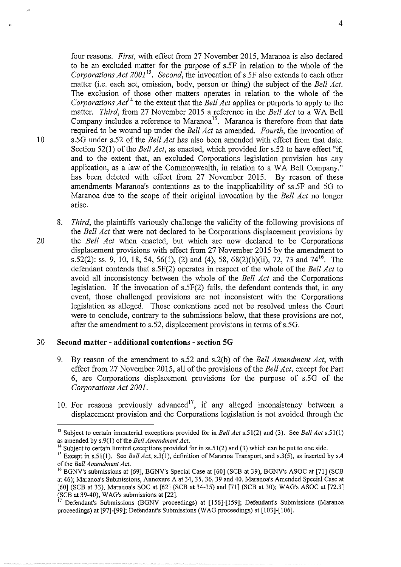four reasons. *First,* with effect from 27 November 2015, Maranoa is also declared to be an excluded matter for the purpose of s.5F in relation to the whole of the *Corporations Act 2001*<sup>13</sup>. *Second, the invocation of s.5F also extends to each other* matter (i.e. each act, omission, body, person or thing) the subject of the *Bell Act.*  The exclusion of those other matters operates in relation to the whole of the *Corporations Act*<sup>14</sup> to the extent that the *Bell Act* applies or purports to apply to the matter. *Third,* from 27 November 2015 a reference in the *Bell Act* to a WA Bell Company includes a reference to Maranoa<sup>15</sup>. Maranoa is therefore from that date required to be wound up under the *Bell Act* as amended. *Fourth,* the invocation of I 0 s.5G under s.52 of the *Bell Act* has also been amended with effect from that date. Section 52(1) of the *Bell Act,* as enacted, which provided for s.52 to have effect "if, and to the extent that, an excluded Corporations legislation provision has any application, as a law of the Commonwealth, in relation to a WA Bell Company." has been deleted with effect from 27 November 2015. By reason of these amendments Maranoa's contentions as to the inapplicability of ss.5F and 5G to Maranoa due to the scope of their original invocation by the *Bell Act* no longer arise.

8. *Third,* the plaintiffs variously challenge the validity of the following provisions of the *Bell Act* that were not declared to be Corporations displacement provisions by 20 the *Bell Act* when enacted, but which are now declared to be Corporations displacement provisions with effect from 27 November 2015 by the amendment to s.52(2): ss. 9, 10, 18, 54, 56(1), (2) and (4), 58, 68(2)(b)(ii), 72, 73 and 74<sup>16</sup>. The defendant contends that s.5F(2) operates in respect of the whole of the *Bell Act* to avoid all inconsistency between the whole of the *Bell Act* and the Corporations legislation. If the invocation of s.5F(2) fails, the defendant contends that, in any event, those challenged provisions are not inconsistent with the Corporations legislation as alleged. Those contentions need not be resolved unless the Court were to conclude, contrary to the submissions below, that these provisions are not, after the amendment to s.52, displacement provisions in terms of s.5G.

# 30 **Second matter - additional contentions - section SG**

- 9. By reason of the amendment to s.52 and s.2(b) of the *Bell Amendment Act,* with effect from 27 November 2015, all of the provisions of the *Bell Act,* except for Part 6, are Corporations displacement provisions for the purpose of s.5G of the *Corporations Act 2001.*
- 10. For reasons previously advanced<sup>17</sup>, if any alleged inconsistency between a displacement provision and the Corporations legislation is not avoided through the

<sup>13</sup> Subject to certain immaterial exceptions provided for in *Bell Act* s.51(2) and (3). See *Bell Act* s.51(1) as amended by s.9(1) of the *Bell Amendment Act.* 

<sup>&</sup>lt;sup>14</sup> Subject to certain limited exceptions provided for in ss.51(2) and (3) which can be put to one side.

<sup>&</sup>lt;sup>15</sup> Except in s.51(1). See *Bell Act*, s.3(1), definition of Maranoa Transport, and s.3(5), as inserted by s.4 of the *Bell Amendment Act*.<br><sup>16</sup> BGNV's submissions at [69], BGNV's Special Case at [60] (SCB at 39), BGNV's ASOC at [71] (SCB

at 46); Maranoa's Submissions, Annexure A at 34, 35, 36, 39 and 40, Maranoa's Amended Special Case at [60] (SCB at 33), Maranoa's SOC at [62] (SCB at 34-35) and [71] (SCB at 30); WAG's ASOC at [72.3]

Defendant's Submissions (BGNV proceedings) at [156]-[159]; Defendant's Submissions (Maranoa proceedings) at [97]-[99]; Defendant's Submissions (WAG proceedings) at [103]-[106].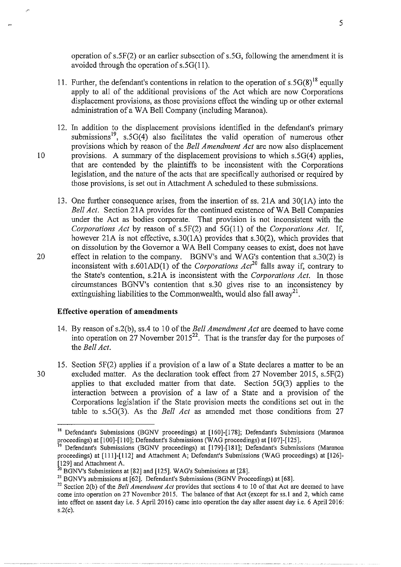operation of s.5F(2) or an earlier subsection of s.5G, following the amendment it is avoided through the operation of s.5G(11).

- 11. Further, the defendant's contentions in relation to the operation of  $s.5G(8)^{18}$  equally apply to all of the additional provisions of the Act which are now Corporations displacement provisions, as those provisions effect the winding up or other external administration of a WA Bell Company (including Maranoa).
- 12. In addition to the displacement provisions identified in the defendant's primary submissions<sup>19</sup>, s.5G(4) also facilitates the valid operation of numerous other provisions which by reason of the *Bell Amendment Act* are now also displacement 10 provisions. A summary of the displacement provisions to which  $s.5G(4)$  applies, that are contended by the plaintiffs to be inconsistent with the Corporations legislation, and the nature of the acts that are specifically authorised or required by those provisions, is set out in Attachment A scheduled to these submissions.
- 13. One further consequence arises, from the insertion of ss. 21A and 30(1A) into the *Bell Act.* Section 21A provides for the continued existence of WA Bell Companies under the Act as bodies corporate. That provision is not inconsistent with the *Corporations Act* by reason of s.5F(2) and 5G(ll) of the *Corporations Act.* If, however 21A is not effective, s.30(1A) provides that s.30(2), which provides that on dissolution by the Governor a WA Bell Company ceases to exist, does not have 20 effect in relation to the company. BGNV's and WAG's contention that s.30(2) is inconsistent with s.601AD(1) of the *Corporations Act*<sup>20</sup> falls away if, contrary to the State's contention, s.21A is inconsistent with the *Corporations Act.* In those circumstances BGNV's contention that s.30 gives rise to an inconsistency by extinguishing liabilities to the Commonwealth, would also fall away<sup>21</sup>.

# **Effective operation of amendments**

- 14. By reason of s.2(b), ss.4 to 10 of the *Bell Amendment Act* are deemed to have come into operation on 27 November  $2015^{22}$ . That is the transfer day for the purposes of the *Bell Act.*
- 15. Section 5F(2) applies if a provision of a law of a State declares a matter to be an 30 excluded matter. As the declaration took effect from 27 November 2015, s.5F(2) applies to that excluded matter from that date. Section 5G(3) applies to the interaction between a provision of a law of a State and a provision of the Corporations legislation if the State provision meets the conditions set out in the table to s.5G(3). As the *Bell Act* as amended met those conditions from 27

<sup>&</sup>lt;sup>18</sup> Defendant's Submissions (BGNV proceedings) at [160]-[178]; Defendant's Submissions (Maranoa proceedings) at [100]-[110]; Defendant's Submissions (WAG proceedings) at [107]-[125].

<sup>19</sup> Defendant's Submissions (BGNV proceedings) at [179]-[181]; Defendant's Submissions (Maranoa proceedings) at [111]-[112] and Attachment A; Defendant's Submissions (WAG proceedings) at [126]- [129] and Attachment A.  $^{20}$  BGNV's Submissions at [28]. WAG's Submissions at [28].

<sup>&</sup>lt;sup>21</sup> BGNV's submissions at [62]. Defendant's Submissions (BGNV Proceedings) at [68].

<sup>&</sup>lt;sup>22</sup> Section 2(b) of the *Bell Amendment Act* provides that sections 4 to 10 of that Act are deemed to have come into operation on 27 November 2015. The balance of that Act (except for ss. I and 2, which came into effect on assent day i.e. 5 April2016) came into operation the day after assent day i.e. 6 April2016: s.2(c).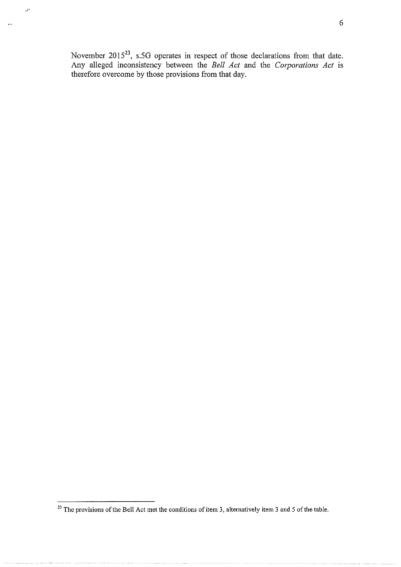November 2015<sup>23</sup>, s.5G operates in respect of those declarations from that date. Any alleged inconsistency between the *Bell Act* and the *Corporations Act* is therefore overcome by those provisions from that day.

*J'* 

 $\mathbf{A}$  .

<sup>&</sup>lt;sup>23</sup> The provisions of the Bell Act met the conditions of item 3, alternatively item 3 and 5 of the table.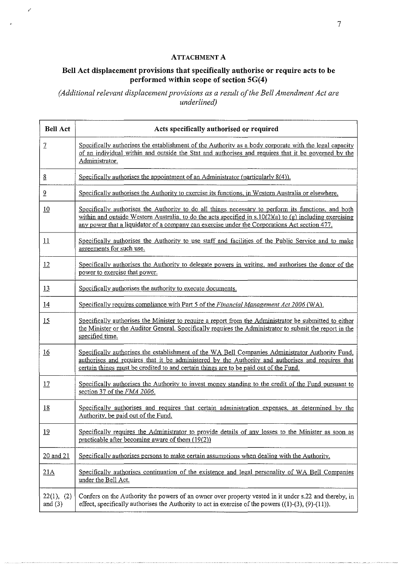# ATTACHMENT A

 $\sim$ 

# Bell Act displacement provisions that specifically authorise or require acts to be performed within scope of section 5G(4)

*(Additional relevant displacement provisions as a result of the Bell Amendment Act are underlined)* 

| <b>Bell Act</b>         | Acts specifically authorised or required                                                                                                                                                                                                                                                                           |
|-------------------------|--------------------------------------------------------------------------------------------------------------------------------------------------------------------------------------------------------------------------------------------------------------------------------------------------------------------|
| $\mathcal{I}$           | Specifically authorises the establishment of the Authority as a body corporate with the legal capacity<br>of an individual within and outside the Stat and authorises and requires that it be governed by the<br>Administrator.                                                                                    |
| $\underline{8}$         | Specifically authorises the appointment of an Administrator (particularly 8(4)).                                                                                                                                                                                                                                   |
| $\overline{2}$          | Specifically authorises the Authority to exercise its functions, in Western Australia or elsewhere.                                                                                                                                                                                                                |
| 10                      | Specifically authorises the Authority to do all things necessary to perform its functions, and both<br>within and outside Western Australia, to do the acts specified in $s.10(2)(a)$ to (g) including exercising<br>any power that a liquidator of a company can exercise under the Corporations Act section 477. |
| 11                      | Specifically authorises the Authority to use staff and facilities of the Public Service and to make<br>agreements for such use.                                                                                                                                                                                    |
| 12                      | Specifically authorises the Authority to delegate powers in writing, and authorises the donor of the<br>power to exercise that power.                                                                                                                                                                              |
| 13                      | Specifically authorises the authority to execute documents.                                                                                                                                                                                                                                                        |
| 14                      | Specifically requires compliance with Part 5 of the <i>Financial Management Act 2006</i> (WA).                                                                                                                                                                                                                     |
| 15                      | Specifically authorises the Minister to require a report from the Administrator be submitted to either<br>the Minister or the Auditor General. Specifically requires the Administrator to submit the report in the<br>specified time.                                                                              |
| 16                      | Specifically authorises the establishment of the WA Bell Companies Administrator Authority Fund,<br>authorises and requires that it be administered by the Authority and authorises and requires that<br>certain things must be credited to and certain things are to be paid out of the Fund.                     |
| 17                      | Specifically authorises the Authority to invest money standing to the credit of the Fund pursuant to<br>section 37 of the FMA 2006.                                                                                                                                                                                |
| <u>18</u>               | Specifically authorises and requires that certain administration expenses, as determined by the<br>Authority, be paid out of the Fund.                                                                                                                                                                             |
| 19                      | Specifically requires the Administrator to provide details of any losses to the Minister as soon as<br>practicable after becoming aware of them (19(2))                                                                                                                                                            |
| 20 and 21               | Specifically authorises persons to make certain assumptions when dealing with the Authority.                                                                                                                                                                                                                       |
| 21A                     | Specifically authorises continuation of the existence and legal personality of WA Bell Companies<br>under the Bell Act.                                                                                                                                                                                            |
| 22(1), (2)<br>and $(3)$ | Confers on the Authority the powers of an owner over property vested in it under s.22 and thereby, in<br>effect, specifically authorises the Authority to act in exercise of the powers $((1)-(3), (9)-(11))$ .                                                                                                    |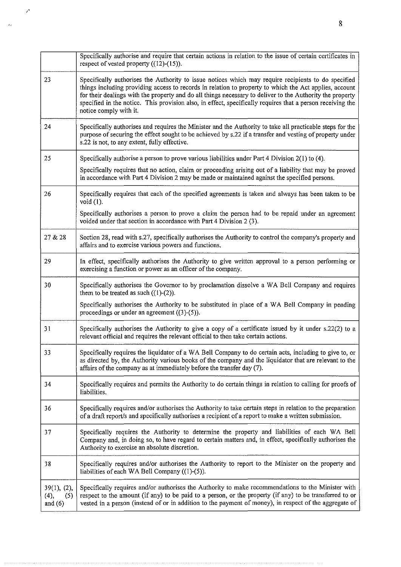|                                         | Specifically authorise and require that certain actions in relation to the issue of certain certificates in<br>respect of vested property $((12)-(15))$ .                                                                                                                                                                                                                                                                                                          |
|-----------------------------------------|--------------------------------------------------------------------------------------------------------------------------------------------------------------------------------------------------------------------------------------------------------------------------------------------------------------------------------------------------------------------------------------------------------------------------------------------------------------------|
| 23                                      | Specifically authorises the Authority to issue notices which may require recipients to do specified<br>things including providing access to records in relation to property to which the Act applies, account<br>for their dealings with the property and do all things necessary to deliver to the Authority the property<br>specified in the notice. This provision also, in effect, specifically requires that a person receiving the<br>notice comply with it. |
| 24                                      | Specifically authorises and requires the Minister and the Authority to take all practicable steps for the<br>purpose of securing the effect sought to be achieved by s.22 if a transfer and vesting of property under<br>s.22 is not, to any extent, fully effective.                                                                                                                                                                                              |
| 25                                      | Specifically authorise a person to prove various liabilities under Part 4 Division $2(1)$ to $(4)$ .                                                                                                                                                                                                                                                                                                                                                               |
|                                         | Specifically requires that no action, claim or proceeding arising out of a liability that may be proved<br>in accordance with Part 4 Division 2 may be made or maintained against the specified persons.                                                                                                                                                                                                                                                           |
| 26                                      | Specifically requires that each of the specified agreements is taken and always has been taken to be<br>void $(1)$ .                                                                                                                                                                                                                                                                                                                                               |
|                                         | Specifically authorises a person to prove a claim the person had to be repaid under an agreement<br>voided under that section in accordance with Part 4 Division 2 (3).                                                                                                                                                                                                                                                                                            |
| 27 & 28                                 | Section 28, read with s.27, specifically authorises the Authority to control the company's property and<br>affairs and to exercise various powers and functions.                                                                                                                                                                                                                                                                                                   |
| 29                                      | In effect, specifically authorises the Authority to give written approval to a person performing or<br>exercising a function or power as an officer of the company.                                                                                                                                                                                                                                                                                                |
| 30                                      | Specifically authorises the Governor to by proclamation dissolve a WA Bell Company and requires<br>them to be treated as such $((1)-(2))$ .                                                                                                                                                                                                                                                                                                                        |
|                                         | Specifically authorises the Authority to be substituted in place of a WA Bell Company in pending<br>proceedings or under an agreement $((3)-(5))$ .                                                                                                                                                                                                                                                                                                                |
| 31                                      | Specifically authorises the Authority to give a copy of a certificate issued by it under s.22(2) to a<br>relevant official and requires the relevant official to then take certain actions.                                                                                                                                                                                                                                                                        |
| 33                                      | Specifically requires the liquidator of a WA Bell Company to do certain acts, including to give to, or<br>as directed by, the Authority various books of the company and the liquidator that are relevant to the<br>affairs of the company as at immediately before the transfer day (7).                                                                                                                                                                          |
| 34                                      | Specifically requires and permits the Authority to do certain things in relation to calling for proofs of<br>liabilities.                                                                                                                                                                                                                                                                                                                                          |
| 36                                      | Specifically requires and/or authorises the Authority to take certain steps in relation to the preparation<br>of a draft report/s and specifically authorises a recipient of a report to make a written submission.                                                                                                                                                                                                                                                |
| 37                                      | Specifically requires the Authority to determine the property and liabilities of each WA Bell<br>Company and, in doing so, to have regard to certain matters and, in effect, specifically authorises the<br>Authority to exercise an absolute discretion.                                                                                                                                                                                                          |
| 38                                      | Specifically requires and/or authorises the Authority to report to the Minister on the property and<br>liabilities of each WA Bell Company $((1)-(5))$ .                                                                                                                                                                                                                                                                                                           |
| 39(1), (2),<br>(4),<br>(5)<br>and $(6)$ | Specifically requires and/or authorises the Authority to make recommendations to the Minister with<br>respect to the amount (if any) to be paid to a person, or the property (if any) to be transferred to or<br>vested in a person (instead of or in addition to the payment of money), in respect of the aggregate of                                                                                                                                            |

 $\mathcal{L}$ 

 $\hat{\phi}_{\rm eff}$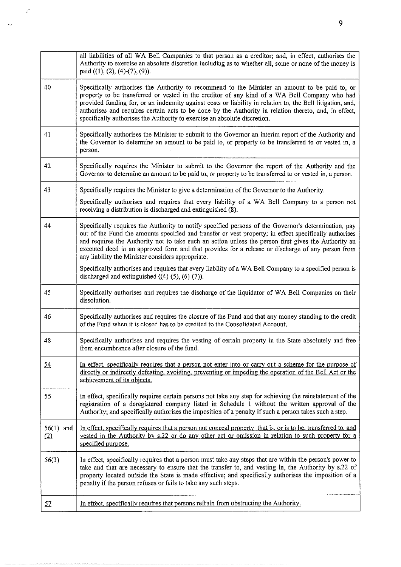|                    | all liabilities of all WA Bell Companies to that person as a creditor; and, in effect, authorises the<br>Authority to exercise an absolute discretion including as to whether all, some or none of the money is<br>paid ((1), (2), (4)-(7), (9)).                                                                                                                                                                                                                                                   |
|--------------------|-----------------------------------------------------------------------------------------------------------------------------------------------------------------------------------------------------------------------------------------------------------------------------------------------------------------------------------------------------------------------------------------------------------------------------------------------------------------------------------------------------|
| 40                 | Specifically authorises the Authority to recommend to the Minister an amount to be paid to, or<br>property to be transferred or vested in the creditor of any kind of a WA Bell Company who had<br>provided funding for, or an indemnity against costs or liability in relation to, the Bell litigation, and,<br>authorises and requires certain acts to be done by the Authority in relation thereto, and, in effect,<br>specifically authorises the Authority to exercise an absolute discretion. |
| 41                 | Specifically authorises the Minister to submit to the Governor an interim report of the Authority and<br>the Governor to determine an amount to be paid to, or property to be transferred to or vested in, a<br>person.                                                                                                                                                                                                                                                                             |
| 42                 | Specifically requires the Minister to submit to the Governor the report of the Authority and the<br>Governor to determine an amount to be paid to, or property to be transferred to or vested in, a person.                                                                                                                                                                                                                                                                                         |
| 43                 | Specifically requires the Minister to give a determination of the Governor to the Authority.                                                                                                                                                                                                                                                                                                                                                                                                        |
|                    | Specifically authorises and requires that every liability of a WA Bell Company to a person not<br>receiving a distribution is discharged and extinguished (8).                                                                                                                                                                                                                                                                                                                                      |
| 44                 | Specifically requires the Authority to notify specified persons of the Governor's determination, pay<br>out of the Fund the amounts specified and transfer or vest property; in effect specifically authorises<br>and requires the Authority not to take such an action unless the person first gives the Authority an<br>executed deed in an approved form and that provides for a release or discharge of any person from<br>any liability the Minister considers appropriate.                    |
|                    | Specifically authorises and requires that every liability of a WA Bell Company to a specified person is<br>discharged and extinguished $((4)-(5), (6)-(7))$ .                                                                                                                                                                                                                                                                                                                                       |
| 45                 | Specifically authorises and requires the discharge of the liquidator of WA Bell Companies on their<br>dissolution.                                                                                                                                                                                                                                                                                                                                                                                  |
| 46                 | Specifically authorises and requires the closure of the Fund and that any money standing to the credit<br>of the Fund when it is closed has to be credited to the Consolidated Account.                                                                                                                                                                                                                                                                                                             |
| 48                 | Specifically authorises and requires the vesting of certain property in the State absolutely and free<br>from encumbrance after closure of the fund.                                                                                                                                                                                                                                                                                                                                                |
| <u>54</u>          | In effect, specifically requires that a person not enter into or carry out a scheme for the purpose of<br>directly or indirectly defeating, avoiding, preventing or impeding the operation of the Bell Act or the<br>achievement of its objects.                                                                                                                                                                                                                                                    |
| 55                 | In effect, specifically requires certain persons not take any step for achieving the reinstatement of the<br>registration of a deregistered company listed in Schedule 1 without the written approval of the<br>Authority; and specifically authorises the imposition of a penalty if such a person takes such a step.                                                                                                                                                                              |
| $56(1)$ and<br>(2) | In effect, specifically requires that a person not conceal property that is, or is to be, transferred to, and<br>vested in the Authority by s.22 or do any other act or omission in relation to such property for a<br>specified purpose.                                                                                                                                                                                                                                                           |
| 56(3)              | In effect, specifically requires that a person must take any steps that are within the person's power to<br>take and that are necessary to ensure that the transfer to, and vesting in, the Authority by s.22 of<br>property located outside the State is made effective; and specifically authorises the imposition of a<br>penalty if the person refuses or fails to take any such steps.                                                                                                         |
| 57                 | In effect, specifically requires that persons refrain from obstructing the Authority.                                                                                                                                                                                                                                                                                                                                                                                                               |

 $\hat{\mathcal{E}}$ 

 $\ddot{v}$